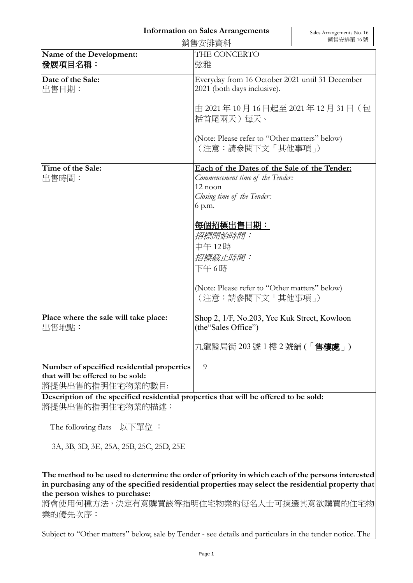## **Information on Sales Arrangements**

| 銷售安排資料                                         |                                                                                      | 銷售安排第16號 |
|------------------------------------------------|--------------------------------------------------------------------------------------|----------|
| Name of the Development:<br>發展項目名稱:            | THE CONCERTO<br>弦雅                                                                   |          |
| Date of the Sale:<br>出售日期:                     | Everyday from 16 October 2021 until 31 December<br>2021 (both days inclusive).       |          |
|                                                | 由 2021年10月16日起至 2021年12月31日 (包<br>括首尾兩天)每天。                                          |          |
|                                                | (Note: Please refer to "Other matters" below)<br>(注意:請參閱下文「其他事項」)                    |          |
| Time of the Sale:                              | Each of the Dates of the Sale of the Tender:                                         |          |
| 出售時間:                                          | Commencement time of the Tender:<br>12 noon<br>Closing time of the Tender:<br>6 p.m. |          |
|                                                | 每個招標出售日期:<br>招標開始時間:<br>中午12時<br>招標截止時間:<br>下午6時                                     |          |
|                                                | (Note: Please refer to "Other matters" below)<br>(注意:請參閱下文「其他事項」)                    |          |
| Place where the sale will take place:<br>出售地點: | Shop 2, 1/F, No.203, Yee Kuk Street, Kowloon<br>(the "Sales Office")                 |          |
|                                                | 九龍醫局街 203 號 1 樓 2 號舖 (「售樓處」)                                                         |          |
| Number of specified residential properties     | 9                                                                                    |          |
| that will be offered to be sold:               |                                                                                      |          |
| 將提供出售的指明住宅物業的數目:                               |                                                                                      |          |

**Description of the specified residential properties that will be offered to be sold:** 將提供出售的指明住宅物業的描述:

The following flats 以下單位 :

3A, 3B, 3D, 3E, 25A, 25B, 25C, 25D, 25E

**The method to be used to determine the order of priority in which each of the persons interested in purchasing any of the specified residential properties may select the residential property that the person wishes to purchase:** 

將會使用何種方法,決定有意購買該等指明住宅物業的每名人士可揀選其意欲購買的住宅物 業的優先次序:

Subject to "Other matters" below, sale by Tender - see details and particulars in the tender notice. The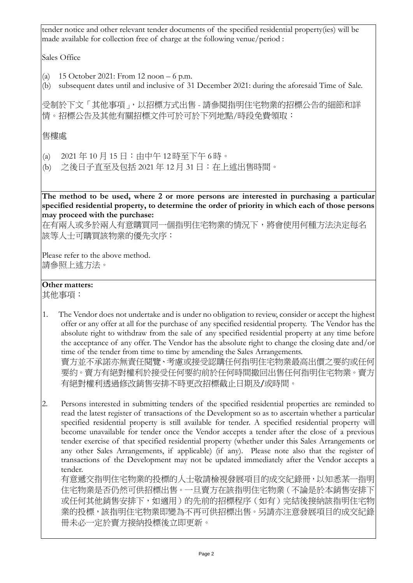tender notice and other relevant tender documents of the specified residential property(ies) will be made available for collection free of charge at the following venue/period :

Sales Office

- (a) 15 October 2021: From 12 noon 6 p.m.
- (b) subsequent dates until and inclusive of 31 December 2021: during the aforesaid Time of Sale.

受制於下文「其他事項」,以招標方式出售 - 請參閱指明住宅物業的招標公告的細節和詳 情。招標公告及其他有關招標文件可於可於下列地點/時段免費領取:

售樓處

- (a) 2021 年 10 月 15 日:由中午 12 時至下午 6 時。
- (b) 之後日子直至及包括 2021 年 12 月 31 日:在上述出售時間。

**The method to be used, where 2 or more persons are interested in purchasing a particular specified residential property, to determine the order of priority in which each of those persons may proceed with the purchase:**

在有兩人或多於兩人有意購買同一個指明住宅物業的情況下,將會使用何種方法決定每名 該等人士可購買該物業的優先次序:

Please refer to the above method. 請參照上述方法。

## **Other matters:**

其他事項:

- 1. The Vendor does not undertake and is under no obligation to review, consider or accept the highest offer or any offer at all for the purchase of any specified residential property. The Vendor has the absolute right to withdraw from the sale of any specified residential property at any time before the acceptance of any offer. The Vendor has the absolute right to change the closing date and/or time of the tender from time to time by amending the Sales Arrangements. 賣方並不承諾亦無責任閱覽、考慮或接受認購任何指明住宅物業最高出價之要約或任何 要約。賣方有絕對權利於接受任何要約前於任何時間撤回出售任何指明住宅物業。賣方 有絕對權利透過修改銷售安排不時更改招標截止日期及/或時間。
- 2. Persons interested in submitting tenders of the specified residential properties are reminded to read the latest register of transactions of the Development so as to ascertain whether a particular specified residential property is still available for tender. A specified residential property will become unavailable for tender once the Vendor accepts a tender after the close of a previous tender exercise of that specified residential property (whether under this Sales Arrangements or any other Sales Arrangements, if applicable) (if any). Please note also that the register of transactions of the Development may not be updated immediately after the Vendor accepts a tender.

有意遞交指明住宅物業的投標的人士敬請檢視發展項目的成交紀錄冊,以知悉某一指明 住宅物業是否仍然可供招標出售。一旦賣方在該指明住宅物業(不論是於本銷售安排下 或任何其他銷售安排下,如適用)的先前的招標程序(如有)完結後接納該指明住宅物 業的投標,該指明住宅物業即變為不再可供招標出售。另請亦注意發展項目的成交紀錄 冊未必一定於賣方接納投標後立即更新。